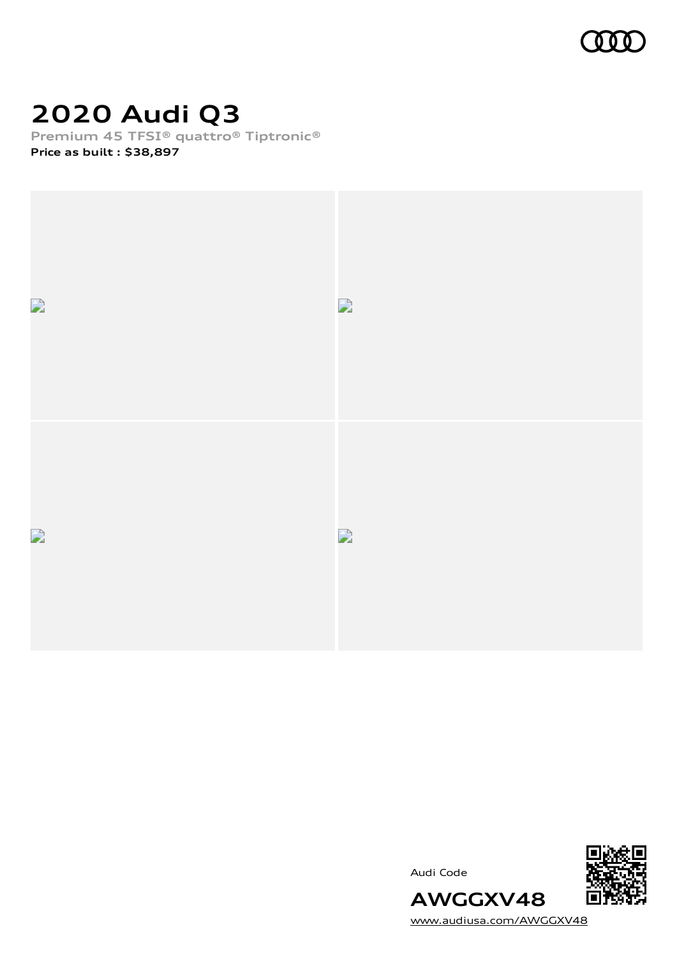

### **2020 Audi Q3**

**Premium 45 TFSI® quattro® Tiptronic®**

**Price as built [:](#page-10-0) \$38,897**



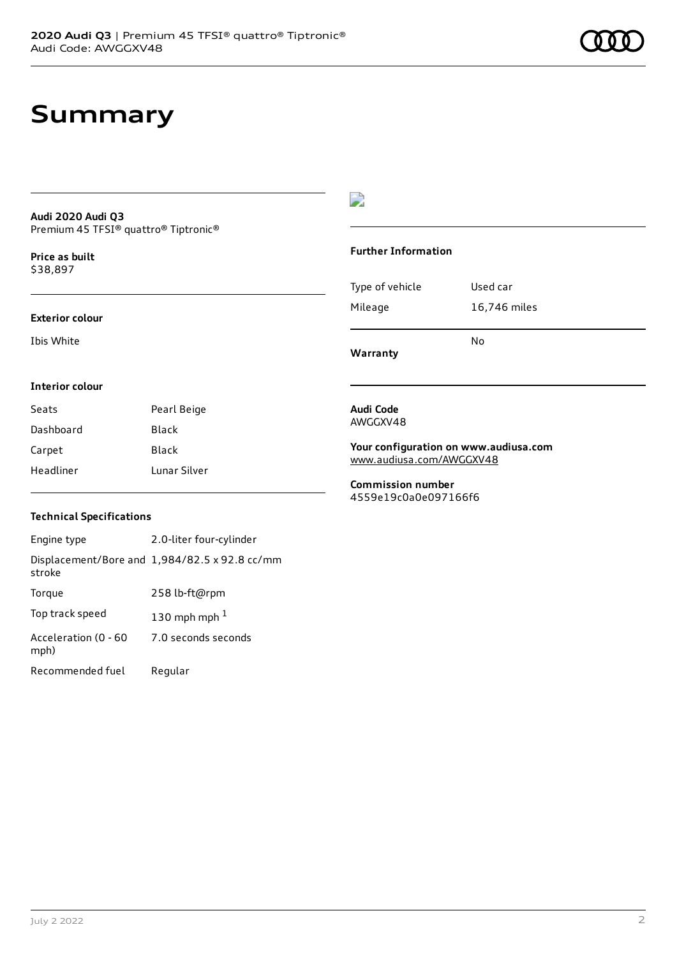### **Summary**

#### **Audi 2020 Audi Q3** Premium 45 TFSI® quattro® Tiptronic®

**Price as buil[t](#page-10-0)** \$38,897

#### **Exterior colour**

Ibis White

### $\overline{\phantom{a}}$

#### **Further Information**

|                 | N٥           |
|-----------------|--------------|
| Mileage         | 16,746 miles |
| Type of vehicle | Used car     |

**Warranty**

#### **Interior colour**

| Seats     | Pearl Beige  |
|-----------|--------------|
| Dashboard | Black        |
| Carpet    | Black        |
| Headliner | Lunar Silver |

#### **Audi Code** AWGGXV48

**Your configuration on www.audiusa.com**

[www.audiusa.com/AWGGXV48](https://www.audiusa.com/AWGGXV48)

**Commission number** 4559e19c0a0e097166f6

### **Technical Specifications**

| Engine type                  | 2.0-liter four-cylinder                       |
|------------------------------|-----------------------------------------------|
| stroke                       | Displacement/Bore and 1,984/82.5 x 92.8 cc/mm |
| Torque                       | 258 lb-ft@rpm                                 |
| Top track speed              | 130 mph mph $1$                               |
| Acceleration (0 - 60<br>mph) | 7.0 seconds seconds                           |
| Recommended fuel             | Regular                                       |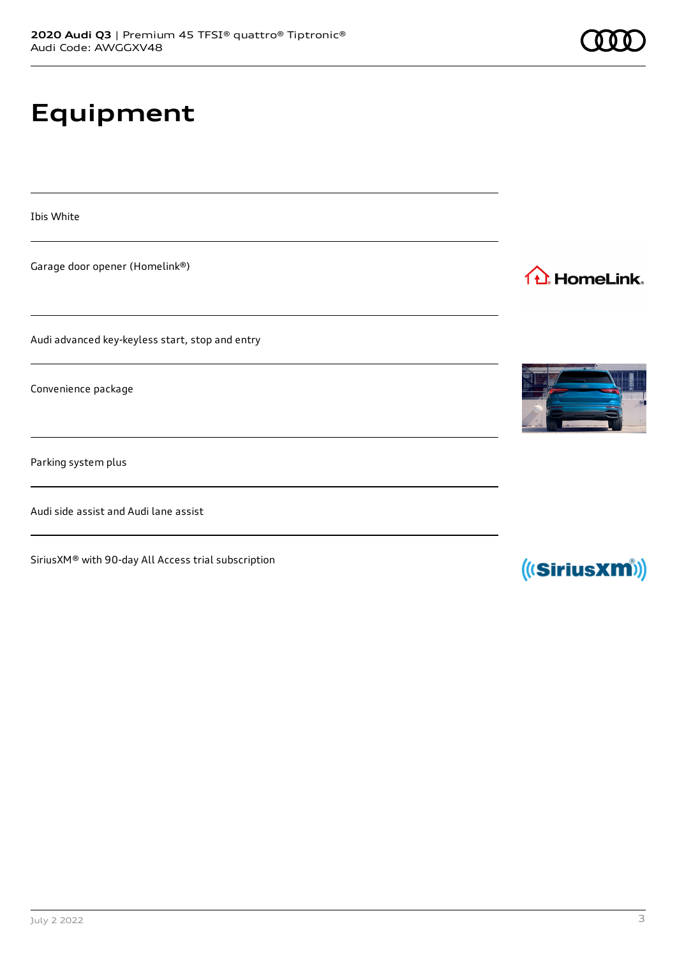# **Equipment**

Ibis White

Garage door opener (Homelink®)

Audi advanced key-keyless start, stop and entry

Convenience package

Parking system plus

Audi side assist and Audi lane assist

SiriusXM® with 90-day All Access trial subscription



1<sup>1</sup> HomeLink.



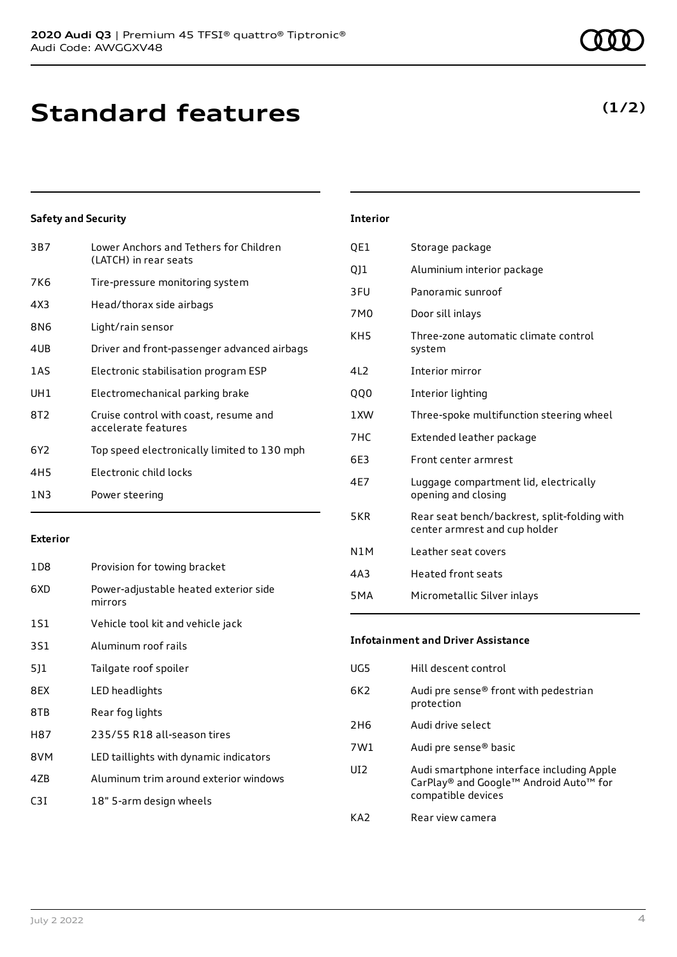### **Standard features**

### **Safety and Security**

| 3B7             | Lower Anchors and Tethers for Children<br>(LATCH) in rear seats |
|-----------------|-----------------------------------------------------------------|
| 7K6             | Tire-pressure monitoring system                                 |
| 4X3             | Head/thorax side airbags                                        |
| 8N6             | Light/rain sensor                                               |
| 4UB             | Driver and front-passenger advanced airbags                     |
| 1AS             | Electronic stabilisation program ESP                            |
| UH1             | Electromechanical parking brake                                 |
| 8T2             | Cruise control with coast, resume and<br>accelerate features    |
| 6Y2             | Top speed electronically limited to 130 mph                     |
| 4H <sub>5</sub> | Electronic child locks                                          |
| 1 N 3           | Power steering                                                  |

#### **Exterior**

| 1D8             | Provision for towing bracket                     |
|-----------------|--------------------------------------------------|
| 6XD             | Power-adjustable heated exterior side<br>mirrors |
| 1S1             | Vehicle tool kit and vehicle jack                |
| 3S1             | Aluminum roof rails                              |
| 5]1             | Tailgate roof spoiler                            |
| 8EX             | LED headlights                                   |
| 8TB             | Rear fog lights                                  |
| H87             | 235/55 R18 all-season tires                      |
| 8VM             | LED taillights with dynamic indicators           |
| 47 <sub>B</sub> | Aluminum trim around exterior windows            |
| C3I             | 18" 5-arm design wheels                          |
|                 |                                                  |

### 7M0 Door sill inlays KH5 Three-zone automatic climate control system 4L2 Interior mirror QQ0 Interior lighting 1XW Three-spoke multifunction steering wheel 7HC Extended leather package 6E3 Front center armrest 4E7 Luggage compartment lid, electrically

**Interior**

QE1 Storage package

3FU Panoramic sunroof

QJ1 Aluminium interior package

- opening and closing 5KR Rear seat bench/backrest, split-folding with center armrest and cup holder N1M Leather seat covers
- 4A3 Heated front seats
- 5MA Micrometallic Silver inlays

### **Infotainment and Driver Assistance**

| UG5  | Hill descent control                                                                                      |
|------|-----------------------------------------------------------------------------------------------------------|
| 6K2. | Audi pre sense® front with pedestrian<br>protection                                                       |
| 2H6  | Audi drive select                                                                                         |
| 7W1  | Audi pre sense <sup>®</sup> basic                                                                         |
| UT2. | Audi smartphone interface including Apple<br>CarPlay® and Google™ Android Auto™ for<br>compatible devices |
| KA2  | Rear view camera                                                                                          |

### **(1/2)**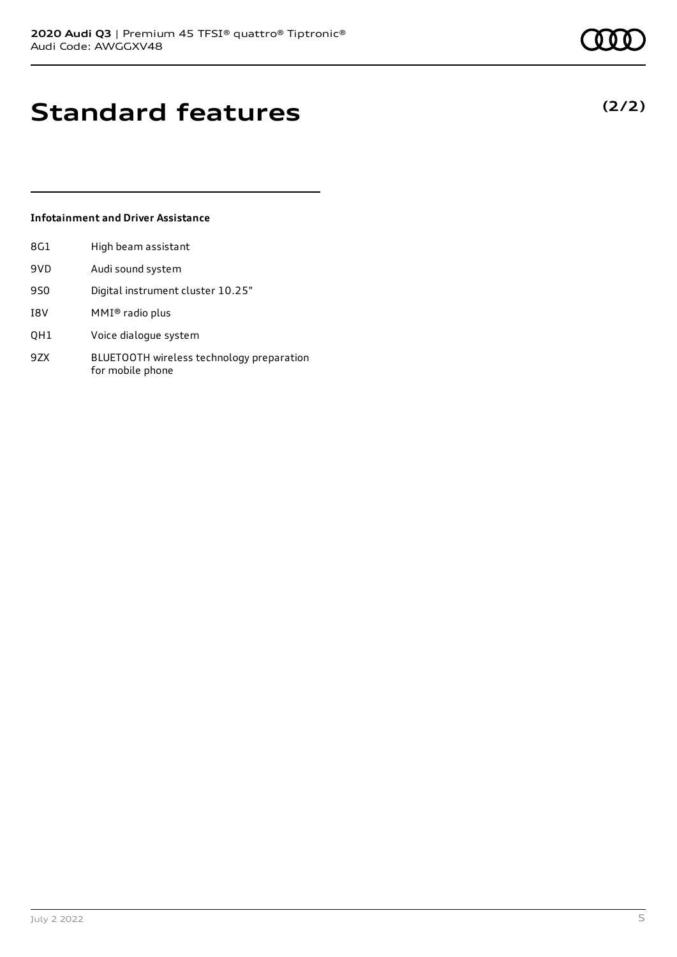**(2/2)**

### **Standard features**

### **Infotainment and Driver Assistance**

| 8G1 | High beam assistant |
|-----|---------------------|
| 9VD | Audi sound system   |

- 9S0 Digital instrument cluster 10.25"
- I8V MMI® radio plus
- QH1 Voice dialogue system
- 9ZX BLUETOOTH wireless technology preparation for mobile phone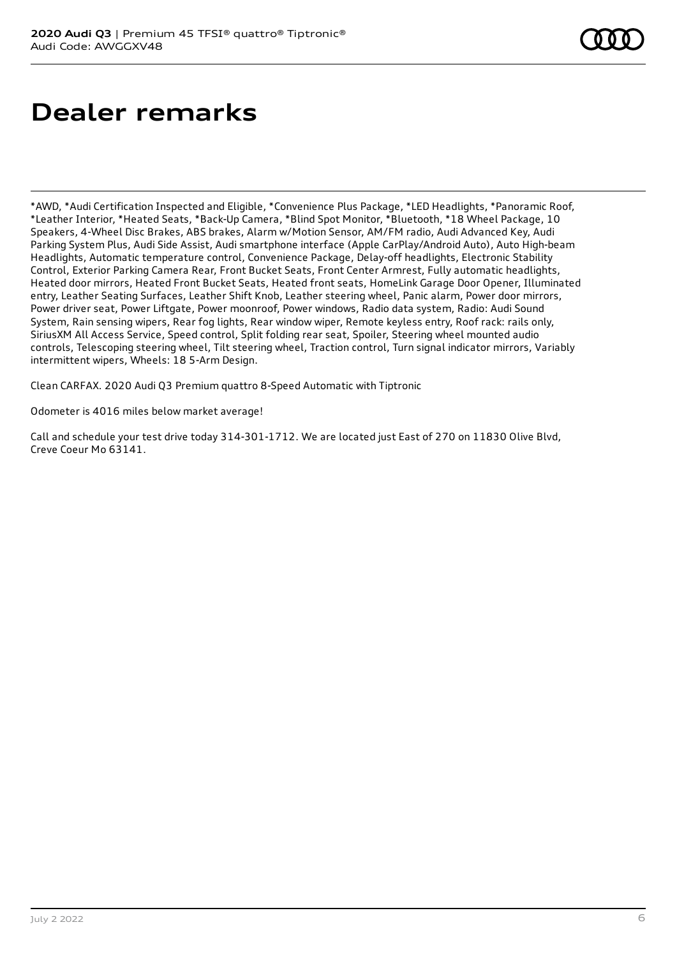# **Dealer remarks**

\*AWD, \*Audi Certification Inspected and Eligible, \*Convenience Plus Package, \*LED Headlights, \*Panoramic Roof, \*Leather Interior, \*Heated Seats, \*Back-Up Camera, \*Blind Spot Monitor, \*Bluetooth, \*18 Wheel Package, 10 Speakers, 4-Wheel Disc Brakes, ABS brakes, Alarm w/Motion Sensor, AM/FM radio, Audi Advanced Key, Audi Parking System Plus, Audi Side Assist, Audi smartphone interface (Apple CarPlay/Android Auto), Auto High-beam Headlights, Automatic temperature control, Convenience Package, Delay-off headlights, Electronic Stability Control, Exterior Parking Camera Rear, Front Bucket Seats, Front Center Armrest, Fully automatic headlights, Heated door mirrors, Heated Front Bucket Seats, Heated front seats, HomeLink Garage Door Opener, Illuminated entry, Leather Seating Surfaces, Leather Shift Knob, Leather steering wheel, Panic alarm, Power door mirrors, Power driver seat, Power Liftgate, Power moonroof, Power windows, Radio data system, Radio: Audi Sound System, Rain sensing wipers, Rear fog lights, Rear window wiper, Remote keyless entry, Roof rack: rails only, SiriusXM All Access Service, Speed control, Split folding rear seat, Spoiler, Steering wheel mounted audio controls, Telescoping steering wheel, Tilt steering wheel, Traction control, Turn signal indicator mirrors, Variably intermittent wipers, Wheels: 18 5-Arm Design.

Clean CARFAX. 2020 Audi Q3 Premium quattro 8-Speed Automatic with Tiptronic

Odometer is 4016 miles below market average!

Call and schedule your test drive today 314-301-1712. We are located just East of 270 on 11830 Olive Blvd, Creve Coeur Mo 63141.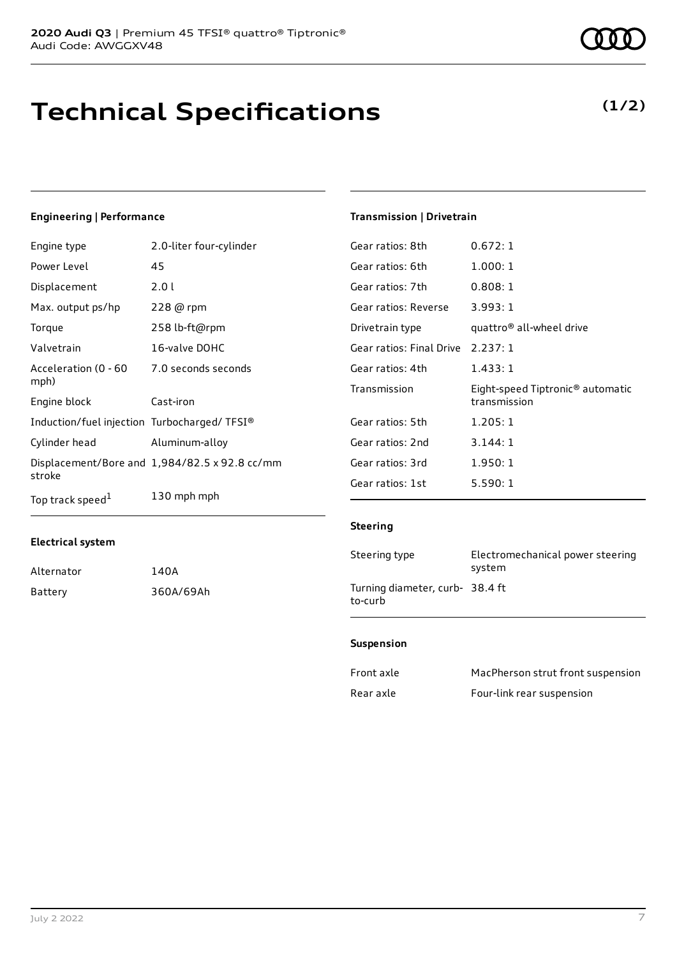# **Technical Specifications**

### **Engineering | Performance**

| Engine type                                 | 2.0-liter four-cylinder                              |
|---------------------------------------------|------------------------------------------------------|
| Power Level                                 | 45                                                   |
| Displacement                                | 2.01                                                 |
| Max. output ps/hp                           | 228 @ rpm                                            |
| Torque                                      | 258 lb-ft@rpm                                        |
| Valvetrain                                  | 16-valve DOHC                                        |
| Acceleration (0 - 60<br>mph)                | 7.0 seconds seconds                                  |
| Engine block                                | Cast-iron                                            |
| Induction/fuel injection Turbocharged/TFSI® |                                                      |
| Cylinder head                               | Aluminum-alloy                                       |
| stroke                                      | Displacement/Bore and $1,984/82.5 \times 92.8$ cc/mm |
| Top track speed <sup>1</sup>                | 130 mph mph                                          |

### **Transmission | Drivetrain**

| Gear ratios: 8th                  | 0.672:1                                                      |
|-----------------------------------|--------------------------------------------------------------|
| Gear ratios: 6th                  | 1.000:1                                                      |
| Gear ratios: 7th                  | 0.808:1                                                      |
| Gear ratios: Reverse              | 3.993:1                                                      |
| Drivetrain type                   | quattro® all-wheel drive                                     |
| Gear ratios: Final Drive 2.237: 1 |                                                              |
| Gear ratios: 4th                  | 1.433:1                                                      |
| Transmission                      | Eight-speed Tiptronic <sup>®</sup> automatic<br>transmission |
| Gear ratios: 5th                  | 1.205:1                                                      |
| Gear ratios: 2nd                  | 3.144:1                                                      |
| Gear ratios: 3rd                  | 1.950:1                                                      |
| Gear ratios: 1st                  | 5.590:1                                                      |

#### **Steering**

| Steering type                             | Electromechanical power steering<br>system |
|-------------------------------------------|--------------------------------------------|
| Turning diameter, curb-38.4 ft<br>to-curb |                                            |

#### **Suspension**

| Front axle | MacPherson strut front suspension |
|------------|-----------------------------------|
| Rear axle  | Four-link rear suspension         |

**Electrical system**

Alternator 140A

Battery 360A/69Ah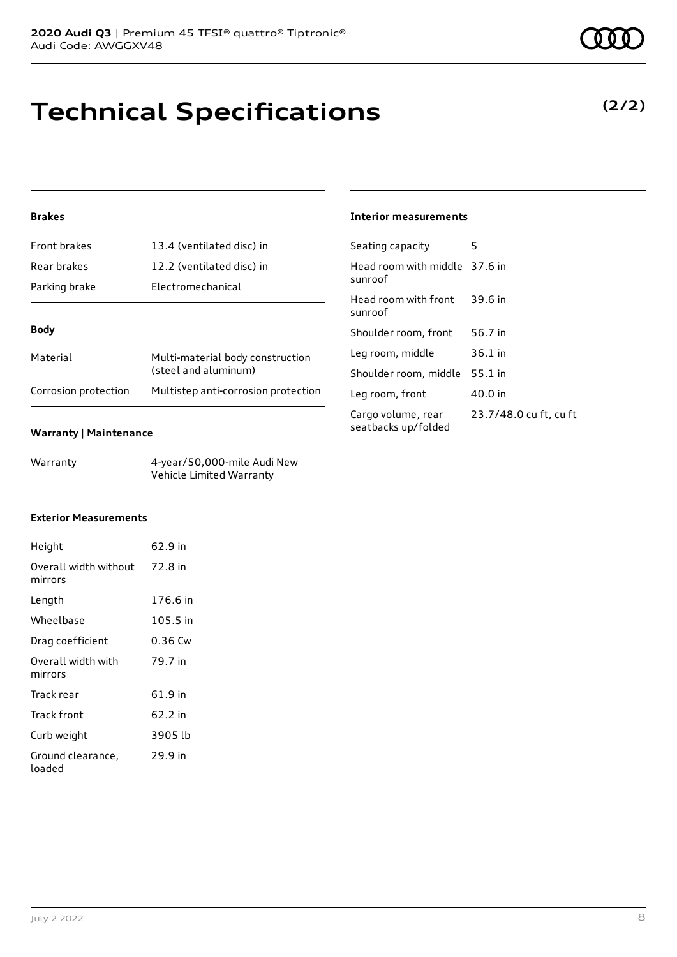# **Technical Specifications**

### **Brakes**

| Front brakes         | 13.4 (ventilated disc) in                                |
|----------------------|----------------------------------------------------------|
| Rear brakes          | 12.2 (ventilated disc) in                                |
| Parking brake        | Electromechanical                                        |
|                      |                                                          |
| <b>Body</b>          |                                                          |
| Material             | Multi-material body construction<br>(steel and aluminum) |
| Corrosion protection | Multistep anti-corrosion protection                      |

#### **Warranty | Maintenance**

| Warranty | 4-year/50,000-mile Audi New |
|----------|-----------------------------|
|          | Vehicle Limited Warranty    |

### **Interior measurements**

| Seating capacity                          | 5                      |
|-------------------------------------------|------------------------|
| Head room with middle 37.6 in<br>sunroof  |                        |
| Head room with front<br>sunroof           | 39.6 in                |
| Shoulder room, front                      | 56.7 in                |
| Leg room, middle                          | $36.1$ in              |
| Shoulder room, middle                     | $55.1$ in              |
| Leg room, front                           | 40.0 in                |
| Cargo volume, rear<br>seatbacks up/folded | 23.7/48.0 cu ft, cu ft |

### **Exterior Measurements**

| Height                           | 62.9 in  |
|----------------------------------|----------|
| Overall width without<br>mirrors | 72.8 in  |
| Length                           | 176.6 in |
| Wheelbase                        | 105.5 in |
| Drag coefficient                 | 0.36 Cw  |
| Overall width with<br>mirrors    | 79.7 in  |
| Track rear                       | 61.9 in  |
| Track front                      | 62.2 in  |
| Curb weight                      | 3905 lb  |
| Ground clearance,<br>loaded      | 29.9 in  |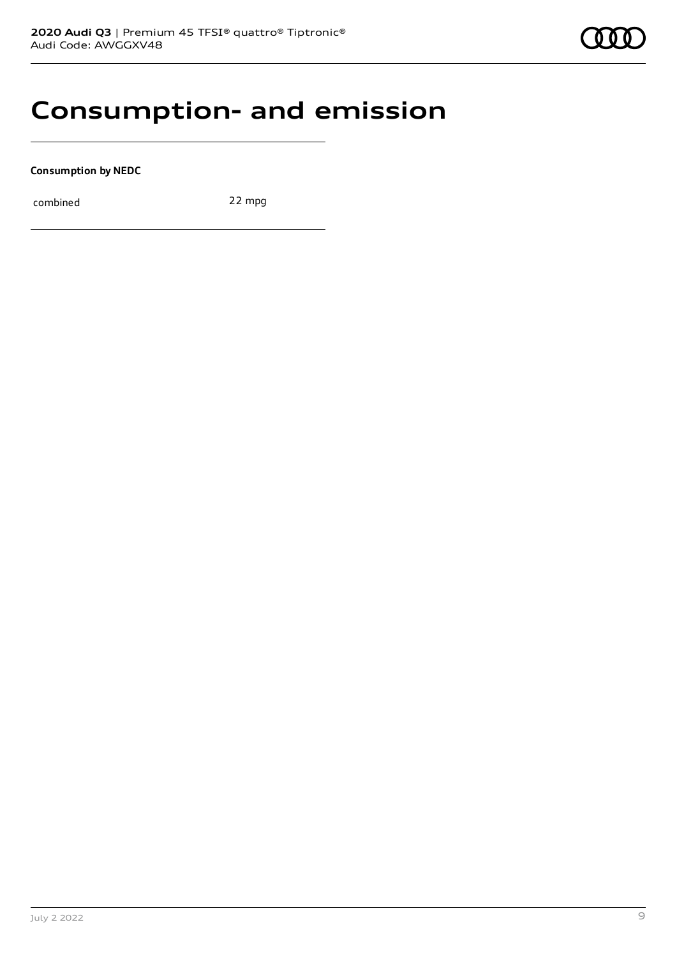### **Consumption- and emission**

**Consumption by NEDC**

combined 22 mpg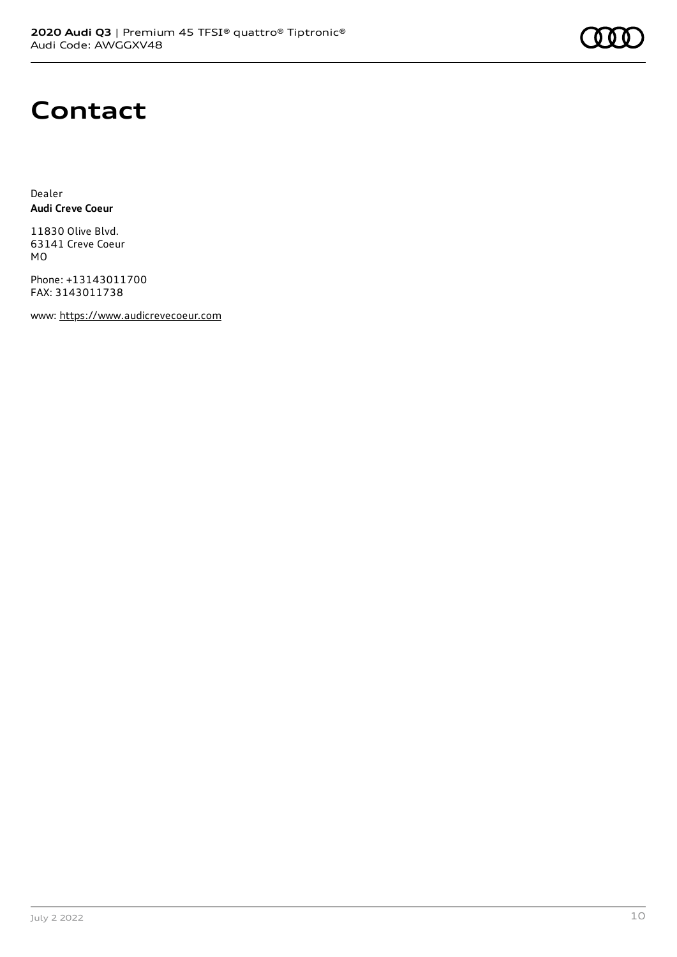

### **Contact**

Dealer **Audi Creve Coeur**

11830 Olive Blvd. 63141 Creve Coeur MO

Phone: +13143011700 FAX: 3143011738

www: [https://www.audicrevecoeur.com](https://www.audicrevecoeur.com/)